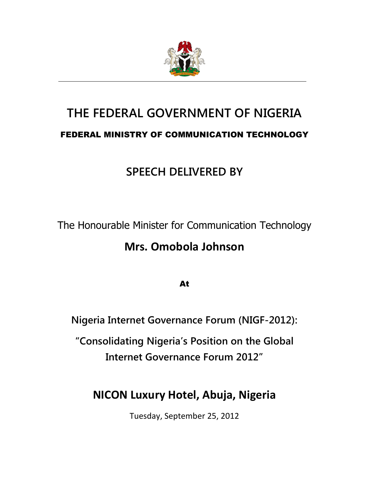

# THE FEDERAL GOVERNMENT OF NIGERIA FEDERAL MINISTRY OF COMMUNICATION TECHNOLOGY

## SPEECH DELIVERED BY

The Honourable Minister for Communication Technology

### Mrs. Omobola Johnson

At

Nigeria Internet Governance Forum (NIGF-2012):

"Consolidating Nigeria's Position on the Global Internet Governance Forum 2012"

### NICON Luxury Hotel, Abuja, Nigeria

Tuesday, September 25, 2012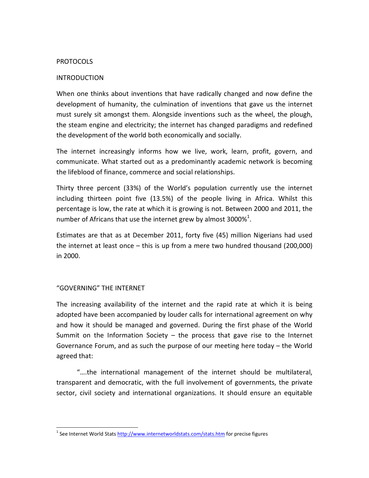#### PROTOCOLS

#### INTRODUCTION

When one thinks about inventions that have radically changed and now define the development of humanity, the culmination of inventions that gave us the internet must surely sit amongst them. Alongside inventions such as the wheel, the plough, the steam engine and electricity; the internet has changed paradigms and redefined the development of the world both economically and socially.

The internet increasingly informs how we live, work, learn, profit, govern, and communicate. What started out as a predominantly academic network is becoming the lifeblood of finance, commerce and social relationships.

Thirty three percent (33%) of the World's population currently use the internet including thirteen point five (13.5%) of the people living in Africa. Whilst this percentage is low, the rate at which it is growing is not. Between 2000 and 2011, the number of Africans that use the internet grew by almost 3000% $^1$ .

Estimates are that as at December 2011, forty five (45) million Nigerians had used the internet at least once – this is up from a mere two hundred thousand (200,000) in 2000.

#### "GOVERNING" THE INTERNET

 $\overline{a}$ 

The increasing availability of the internet and the rapid rate at which it is being adopted have been accompanied by louder calls for international agreement on why and how it should be managed and governed. During the first phase of the World Summit on the Information Society  $-$  the process that gave rise to the Internet Governance Forum, and as such the purpose of our meeting here today – the World agreed that:

 "….the international management of the internet should be multilateral, transparent and democratic, with the full involvement of governments, the private sector, civil society and international organizations. It should ensure an equitable

<sup>&</sup>lt;sup>1</sup> See Internet World Stats http://www.internetworldstats.com/stats.htm</u> for precise figures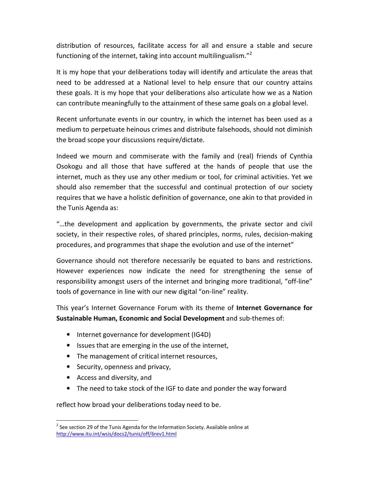distribution of resources, facilitate access for all and ensure a stable and secure functioning of the internet, taking into account multilingualism."<sup>2</sup>

It is my hope that your deliberations today will identify and articulate the areas that need to be addressed at a National level to help ensure that our country attains these goals. It is my hope that your deliberations also articulate how we as a Nation can contribute meaningfully to the attainment of these same goals on a global level.

Recent unfortunate events in our country, in which the internet has been used as a medium to perpetuate heinous crimes and distribute falsehoods, should not diminish the broad scope your discussions require/dictate.

Indeed we mourn and commiserate with the family and (real) friends of Cynthia Osokogu and all those that have suffered at the hands of people that use the internet, much as they use any other medium or tool, for criminal activities. Yet we should also remember that the successful and continual protection of our society requires that we have a holistic definition of governance, one akin to that provided in the Tunis Agenda as:

"…the development and application by governments, the private sector and civil society, in their respective roles, of shared principles, norms, rules, decision-making procedures, and programmes that shape the evolution and use of the internet"

Governance should not therefore necessarily be equated to bans and restrictions. However experiences now indicate the need for strengthening the sense of responsibility amongst users of the internet and bringing more traditional, "off-line" tools of governance in line with our new digital "on-line" reality.

This year's Internet Governance Forum with its theme of Internet Governance for Sustainable Human, Economic and Social Development and sub-themes of:

- Internet governance for development (IG4D)
- Issues that are emerging in the use of the internet,
- The management of critical internet resources,
- Security, openness and privacy,
- Access and diversity, and

l

• The need to take stock of the IGF to date and ponder the way forward

reflect how broad your deliberations today need to be.

 $2$  See section 29 of the Tunis Agenda for the Information Society. Available online at http://www.itu.int/wsis/docs2/tunis/off/6rev1.html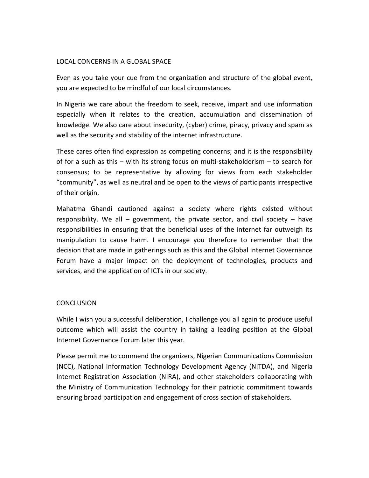#### LOCAL CONCERNS IN A GLOBAL SPACE

Even as you take your cue from the organization and structure of the global event, you are expected to be mindful of our local circumstances.

In Nigeria we care about the freedom to seek, receive, impart and use information especially when it relates to the creation, accumulation and dissemination of knowledge. We also care about insecurity, (cyber) crime, piracy, privacy and spam as well as the security and stability of the internet infrastructure.

These cares often find expression as competing concerns; and it is the responsibility of for a such as this – with its strong focus on multi-stakeholderism – to search for consensus; to be representative by allowing for views from each stakeholder "community", as well as neutral and be open to the views of participants irrespective of their origin.

Mahatma Ghandi cautioned against a society where rights existed without responsibility. We all – government, the private sector, and civil society – have responsibilities in ensuring that the beneficial uses of the internet far outweigh its manipulation to cause harm. I encourage you therefore to remember that the decision that are made in gatherings such as this and the Global Internet Governance Forum have a major impact on the deployment of technologies, products and services, and the application of ICTs in our society.

#### **CONCLUSION**

While I wish you a successful deliberation, I challenge you all again to produce useful outcome which will assist the country in taking a leading position at the Global Internet Governance Forum later this year.

Please permit me to commend the organizers, Nigerian Communications Commission (NCC), National Information Technology Development Agency (NITDA), and Nigeria Internet Registration Association (NIRA), and other stakeholders collaborating with the Ministry of Communication Technology for their patriotic commitment towards ensuring broad participation and engagement of cross section of stakeholders.